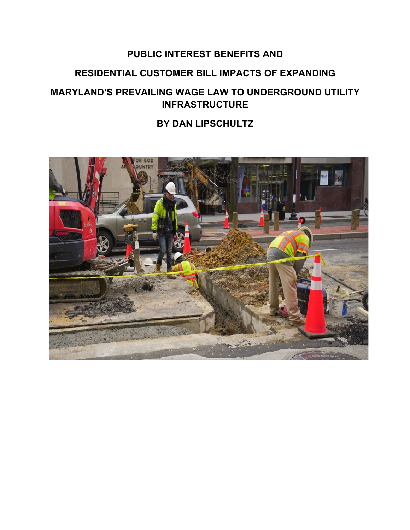# **PUBLIC INTEREST BENEFITS AND**

# **RESIDENTIAL CUSTOMER BILL IMPACTS OF EXPANDING**

# **MARYLAND'S PREVAILING WAGE LAW TO UNDERGROUND UTILITY INFRASTRUCTURE**

## **BY DAN LIPSCHULTZ**

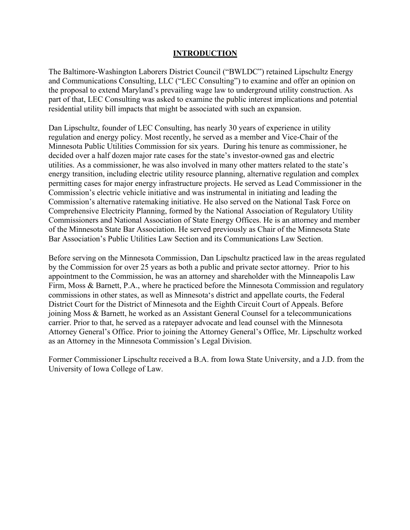#### **INTRODUCTION**

The Baltimore-Washington Laborers District Council ("BWLDC") retained Lipschultz Energy and Communications Consulting, LLC ("LEC Consulting") to examine and offer an opinion on the proposal to extend Maryland's prevailing wage law to underground utility construction. As part of that, LEC Consulting was asked to examine the public interest implications and potential residential utility bill impacts that might be associated with such an expansion.

Dan Lipschultz, founder of LEC Consulting, has nearly 30 years of experience in utility regulation and energy policy. Most recently, he served as a member and Vice-Chair of the Minnesota Public Utilities Commission for six years. During his tenure as commissioner, he decided over a half dozen major rate cases for the state's investor-owned gas and electric utilities. As a commissioner, he was also involved in many other matters related to the state's energy transition, including electric utility resource planning, alternative regulation and complex permitting cases for major energy infrastructure projects. He served as Lead Commissioner in the Commission's electric vehicle initiative and was instrumental in initiating and leading the Commission's alternative ratemaking initiative. He also served on the National Task Force on Comprehensive Electricity Planning, formed by the National Association of Regulatory Utility Commissioners and National Association of State Energy Offices. He is an attorney and member of the Minnesota State Bar Association. He served previously as Chair of the Minnesota State Bar Association's Public Utilities Law Section and its Communications Law Section.

Before serving on the Minnesota Commission, Dan Lipschultz practiced law in the areas regulated by the Commission for over 25 years as both a public and private sector attorney. Prior to his appointment to the Commission, he was an attorney and shareholder with the Minneapolis Law Firm, Moss & Barnett, P.A., where he practiced before the Minnesota Commission and regulatory commissions in other states, as well as Minnesota's district and appellate courts, the Federal District Court for the District of Minnesota and the Eighth Circuit Court of Appeals. Before joining Moss & Barnett, he worked as an Assistant General Counsel for a telecommunications carrier. Prior to that, he served as a ratepayer advocate and lead counsel with the Minnesota Attorney General's Office. Prior to joining the Attorney General's Office, Mr. Lipschultz worked as an Attorney in the Minnesota Commission's Legal Division.

Former Commissioner Lipschultz received a B.A. from Iowa State University, and a J.D. from the University of Iowa College of Law.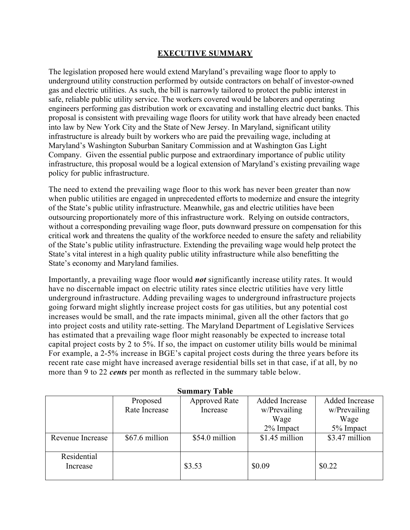#### **EXECUTIVE SUMMARY**

The legislation proposed here would extend Maryland's prevailing wage floor to apply to underground utility construction performed by outside contractors on behalf of investor-owned gas and electric utilities. As such, the bill is narrowly tailored to protect the public interest in safe, reliable public utility service. The workers covered would be laborers and operating engineers performing gas distribution work or excavating and installing electric duct banks. This proposal is consistent with prevailing wage floors for utility work that have already been enacted into law by New York City and the State of New Jersey. In Maryland, significant utility infrastructure is already built by workers who are paid the prevailing wage, including at Maryland's Washington Suburban Sanitary Commission and at Washington Gas Light Company. Given the essential public purpose and extraordinary importance of public utility infrastructure, this proposal would be a logical extension of Maryland's existing prevailing wage policy for public infrastructure.

The need to extend the prevailing wage floor to this work has never been greater than now when public utilities are engaged in unprecedented efforts to modernize and ensure the integrity of the State's public utility infrastructure. Meanwhile, gas and electric utilities have been outsourcing proportionately more of this infrastructure work. Relying on outside contractors, without a corresponding prevailing wage floor, puts downward pressure on compensation for this critical work and threatens the quality of the workforce needed to ensure the safety and reliability of the State's public utility infrastructure. Extending the prevailing wage would help protect the State's vital interest in a high quality public utility infrastructure while also benefitting the State's economy and Maryland families.

Importantly, a prevailing wage floor would *not* significantly increase utility rates. It would have no discernable impact on electric utility rates since electric utilities have very little underground infrastructure. Adding prevailing wages to underground infrastructure projects going forward might slightly increase project costs for gas utilities, but any potential cost increases would be small, and the rate impacts minimal, given all the other factors that go into project costs and utility rate-setting. The Maryland Department of Legislative Services has estimated that a prevailing wage floor might reasonably be expected to increase total capital project costs by 2 to 5%. If so, the impact on customer utility bills would be minimal For example, a 2-5% increase in BGE's capital project costs during the three years before its recent rate case might have increased average residential bills set in that case, if at all, by no more than 9 to 22 *cents* per month as reflected in the summary table below.

| <b>Summary Table</b> |                |                      |                |                       |  |  |
|----------------------|----------------|----------------------|----------------|-----------------------|--|--|
|                      | Proposed       | <b>Approved Rate</b> | Added Increase | <b>Added Increase</b> |  |  |
|                      | Rate Increase  | Increase             | w/Prevailing   | w/Prevailing          |  |  |
|                      |                |                      | Wage           | Wage                  |  |  |
|                      |                |                      | 2% Impact      | 5% Impact             |  |  |
| Revenue Increase     | \$67.6 million | \$54.0 million       | \$1.45 million | \$3.47 million        |  |  |
|                      |                |                      |                |                       |  |  |
| Residential          |                |                      |                |                       |  |  |
| Increase             |                | \$3.53               | \$0.09         | \$0.22                |  |  |
|                      |                |                      |                |                       |  |  |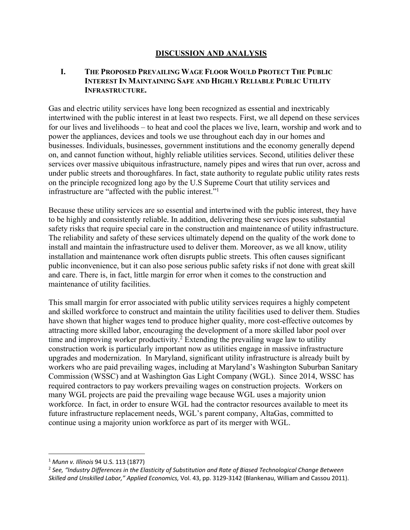#### **DISCUSSION AND ANALYSIS**

#### **I. THE PROPOSED PREVAILING WAGE FLOOR WOULD PROTECT THE PUBLIC INTEREST IN MAINTAINING SAFE AND HIGHLY RELIABLE PUBLIC UTILITY INFRASTRUCTURE.**

Gas and electric utility services have long been recognized as essential and inextricably intertwined with the public interest in at least two respects. First, we all depend on these services for our lives and livelihoods – to heat and cool the places we live, learn, worship and work and to power the appliances, devices and tools we use throughout each day in our homes and businesses. Individuals, businesses, government institutions and the economy generally depend on, and cannot function without, highly reliable utilities services. Second, utilities deliver these services over massive ubiquitous infrastructure, namely pipes and wires that run over, across and under public streets and thoroughfares. In fact, state authority to regulate public utility rates rests on the principle recognized long ago by the U.S Supreme Court that utility services and infrastructure are "affected with the public interest."1

Because these utility services are so essential and intertwined with the public interest, they have to be highly and consistently reliable. In addition, delivering these services poses substantial safety risks that require special care in the construction and maintenance of utility infrastructure. The reliability and safety of these services ultimately depend on the quality of the work done to install and maintain the infrastructure used to deliver them. Moreover, as we all know, utility installation and maintenance work often disrupts public streets. This often causes significant public inconvenience, but it can also pose serious public safety risks if not done with great skill and care. There is, in fact, little margin for error when it comes to the construction and maintenance of utility facilities.

This small margin for error associated with public utility services requires a highly competent and skilled workforce to construct and maintain the utility facilities used to deliver them. Studies have shown that higher wages tend to produce higher quality, more cost-effective outcomes by attracting more skilled labor, encouraging the development of a more skilled labor pool over time and improving worker productivity.<sup>2</sup> Extending the prevailing wage law to utility construction work is particularly important now as utilities engage in massive infrastructure upgrades and modernization. In Maryland, significant utility infrastructure is already built by workers who are paid prevailing wages, including at Maryland's Washington Suburban Sanitary Commission (WSSC) and at Washington Gas Light Company (WGL). Since 2014, WSSC has required contractors to pay workers prevailing wages on construction projects. Workers on many WGL projects are paid the prevailing wage because WGL uses a majority union workforce. In fact, in order to ensure WGL had the contractor resources available to meet its future infrastructure replacement needs, WGL's parent company, AltaGas, committed to continue using a majority union workforce as part of its merger with WGL.

<sup>1</sup> *Munn v. Illinois* 94 U.S. 113 (1877)

<sup>2</sup> *See, "Industry Differences in the Elasticity of Substitution and Rate of Biased Technological Change Between Skilled and Unskilled Labor," Applied Economics,* Vol. 43, pp. 3129-3142 (Blankenau, William and Cassou 2011).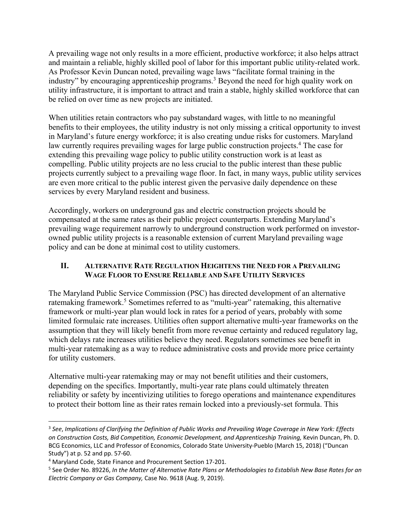A prevailing wage not only results in a more efficient, productive workforce; it also helps attract and maintain a reliable, highly skilled pool of labor for this important public utility-related work. As Professor Kevin Duncan noted, prevailing wage laws "facilitate formal training in the industry" by encouraging apprenticeship programs.3 Beyond the need for high quality work on utility infrastructure, it is important to attract and train a stable, highly skilled workforce that can be relied on over time as new projects are initiated.

When utilities retain contractors who pay substandard wages, with little to no meaningful benefits to their employees, the utility industry is not only missing a critical opportunity to invest in Maryland's future energy workforce; it is also creating undue risks for customers. Maryland law currently requires prevailing wages for large public construction projects.<sup>4</sup> The case for extending this prevailing wage policy to public utility construction work is at least as compelling. Public utility projects are no less crucial to the public interest than these public projects currently subject to a prevailing wage floor. In fact, in many ways, public utility services are even more critical to the public interest given the pervasive daily dependence on these services by every Maryland resident and business.

Accordingly, workers on underground gas and electric construction projects should be compensated at the same rates as their public project counterparts. Extending Maryland's prevailing wage requirement narrowly to underground construction work performed on investorowned public utility projects is a reasonable extension of current Maryland prevailing wage policy and can be done at minimal cost to utility customers.

### **II. ALTERNATIVE RATE REGULATION HEIGHTENS THE NEED FOR A PREVAILING WAGE FLOOR TO ENSURE RELIABLE AND SAFE UTILITY SERVICES**

The Maryland Public Service Commission (PSC) has directed development of an alternative ratemaking framework.<sup>5</sup> Sometimes referred to as "multi-year" ratemaking, this alternative framework or multi-year plan would lock in rates for a period of years, probably with some limited formulaic rate increases. Utilities often support alternative multi-year frameworks on the assumption that they will likely benefit from more revenue certainty and reduced regulatory lag, which delays rate increases utilities believe they need. Regulators sometimes see benefit in multi-year ratemaking as a way to reduce administrative costs and provide more price certainty for utility customers.

Alternative multi-year ratemaking may or may not benefit utilities and their customers, depending on the specifics. Importantly, multi-year rate plans could ultimately threaten reliability or safety by incentivizing utilities to forego operations and maintenance expenditures to protect their bottom line as their rates remain locked into a previously-set formula. This

<sup>3</sup> *See*, *Implications of Clarifying the Definition of Public Works and Prevailing Wage Coverage in New York: Effects on Construction Costs, Bid Competition, Economic Development, and Apprenticeship Training,* Kevin Duncan, Ph. D. BCG Economics, LLC and Professor of Economics, Colorado State University-Pueblo (March 15, 2018) ("Duncan Study") at p. 52 and pp. 57-60.

<sup>4</sup> Maryland Code, State Finance and Procurement Section 17-201.

<sup>5</sup> See Order No. 89226, *In the Matter of Alternative Rate Plans or Methodologies to Establish New Base Rates for an Electric Company or Gas Company,* Case No. 9618 (Aug. 9, 2019).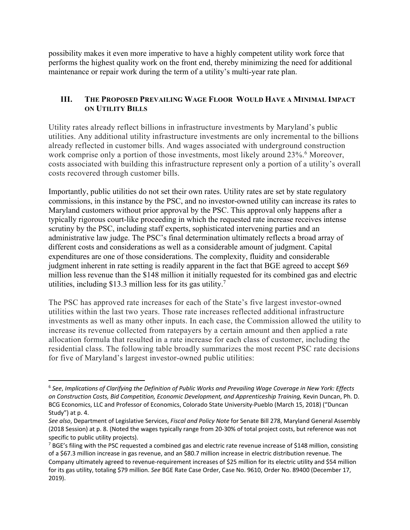possibility makes it even more imperative to have a highly competent utility work force that performs the highest quality work on the front end, thereby minimizing the need for additional maintenance or repair work during the term of a utility's multi-year rate plan.

### **III. THE PROPOSED PREVAILING WAGE FLOOR WOULD HAVE A MINIMAL IMPACT ON UTILITY BILLS**

Utility rates already reflect billions in infrastructure investments by Maryland's public utilities. Any additional utility infrastructure investments are only incremental to the billions already reflected in customer bills. And wages associated with underground construction work comprise only a portion of those investments, most likely around 23%.<sup>6</sup> Moreover, costs associated with building this infrastructure represent only a portion of a utility's overall costs recovered through customer bills.

Importantly, public utilities do not set their own rates. Utility rates are set by state regulatory commissions, in this instance by the PSC, and no investor-owned utility can increase its rates to Maryland customers without prior approval by the PSC. This approval only happens after a typically rigorous court-like proceeding in which the requested rate increase receives intense scrutiny by the PSC, including staff experts, sophisticated intervening parties and an administrative law judge. The PSC's final determination ultimately reflects a broad array of different costs and considerations as well as a considerable amount of judgment. Capital expenditures are one of those considerations. The complexity, fluidity and considerable judgment inherent in rate setting is readily apparent in the fact that BGE agreed to accept \$69 million less revenue than the \$148 million it initially requested for its combined gas and electric utilities, including \$13.3 million less for its gas utility.<sup>7</sup>

The PSC has approved rate increases for each of the State's five largest investor-owned utilities within the last two years. Those rate increases reflected additional infrastructure investments as well as many other inputs. In each case, the Commission allowed the utility to increase its revenue collected from ratepayers by a certain amount and then applied a rate allocation formula that resulted in a rate increase for each class of customer, including the residential class. The following table broadly summarizes the most recent PSC rate decisions for five of Maryland's largest investor-owned public utilities:

<sup>6</sup> *See*, *Implications of Clarifying the Definition of Public Works and Prevailing Wage Coverage in New York: Effects on Construction Costs, Bid Competition, Economic Development, and Apprenticeship Training,* Kevin Duncan, Ph. D. BCG Economics, LLC and Professor of Economics, Colorado State University-Pueblo (March 15, 2018) ("Duncan Study") at p. 4.

*See also*, Department of Legislative Services, *Fiscal and Policy Note* for Senate Bill 278, Maryland General Assembly (2018 Session) at p. 8. (Noted the wages typically range from 20-30% of total project costs, but reference was not specific to public utility projects).

<sup>&</sup>lt;sup>7</sup> BGE's filing with the PSC requested a combined gas and electric rate revenue increase of \$148 million, consisting of a \$67.3 million increase in gas revenue, and an \$80.7 million increase in electric distribution revenue. The Company ultimately agreed to revenue-requirement increases of \$25 million for its electric utility and \$54 million for its gas utility, totaling \$79 million. *See* BGE Rate Case Order, Case No. 9610, Order No. 89400 (December 17, 2019).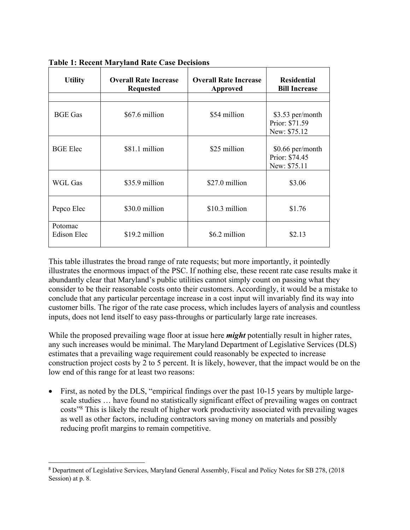| <b>Utility</b>                | <b>Overall Rate Increase</b><br><b>Requested</b> | <b>Overall Rate Increase</b><br><b>Approved</b> | <b>Residential</b><br><b>Bill Increase</b>          |
|-------------------------------|--------------------------------------------------|-------------------------------------------------|-----------------------------------------------------|
|                               |                                                  |                                                 |                                                     |
| <b>BGE Gas</b>                | \$67.6 million                                   | \$54 million                                    | \$3.53 per/month<br>Prior: \$71.59<br>New: \$75.12  |
| <b>BGE</b> Elec               | \$81.1 million                                   | \$25 million                                    | $$0.66$ per/month<br>Prior: \$74.45<br>New: \$75.11 |
| WGL Gas                       | \$35.9 million                                   | \$27.0 million                                  | \$3.06                                              |
| Pepco Elec                    | \$30.0 million                                   | \$10.3 million                                  | \$1.76                                              |
| Potomac<br><b>Edison Elec</b> | \$19.2 million                                   | \$6.2 million                                   | \$2.13                                              |

**Table 1: Recent Maryland Rate Case Decisions**

This table illustrates the broad range of rate requests; but more importantly, it pointedly illustrates the enormous impact of the PSC. If nothing else, these recent rate case results make it abundantly clear that Maryland's public utilities cannot simply count on passing what they consider to be their reasonable costs onto their customers. Accordingly, it would be a mistake to conclude that any particular percentage increase in a cost input will invariably find its way into customer bills. The rigor of the rate case process, which includes layers of analysis and countless inputs, does not lend itself to easy pass-throughs or particularly large rate increases.

While the proposed prevailing wage floor at issue here *might* potentially result in higher rates, any such increases would be minimal. The Maryland Department of Legislative Services (DLS) estimates that a prevailing wage requirement could reasonably be expected to increase construction project costs by 2 to 5 percent. It is likely, however, that the impact would be on the low end of this range for at least two reasons:

• First, as noted by the DLS, "empirical findings over the past 10-15 years by multiple largescale studies … have found no statistically significant effect of prevailing wages on contract costs"8 This is likely the result of higher work productivity associated with prevailing wages as well as other factors, including contractors saving money on materials and possibly reducing profit margins to remain competitive.

<sup>8</sup> Department of Legislative Services, Maryland General Assembly, Fiscal and Policy Notes for SB 278, (2018 Session) at p. 8.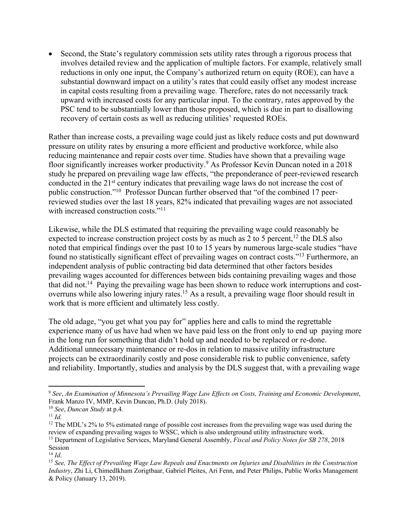• Second, the State's regulatory commission sets utility rates through a rigorous process that involves detailed review and the application of multiple factors. For example, relatively small reductions in only one input, the Company's authorized return on equity (ROE), can have a substantial downward impact on a utility's rates that could easily offset any modest increase in capital costs resulting from a prevailing wage. Therefore, rates do not necessarily track upward with increased costs for any particular input. To the contrary, rates approved by the PSC tend to be substantially lower than those proposed, which is due in part to disallowing recovery of certain costs as well as reducing utilities' requested ROEs.

Rather than increase costs, a prevailing wage could just as likely reduce costs and put downward pressure on utility rates by ensuring a more efficient and productive workforce, while also reducing maintenance and repair costs over time. Studies have shown that a prevailing wage floor significantly increases worker productivity.9 As Professor Kevin Duncan noted in a 2018 study he prepared on prevailing wage law effects, "the preponderance of peer-reviewed research conducted in the 21<sup>st</sup> century indicates that prevailing wage laws do not increase the cost of public construction."10 Professor Duncan further observed that "of the combined 17 peerreviewed studies over the last 18 years, 82% indicated that prevailing wages are not associated with increased construction costs."<sup>11</sup>

Likewise, while the DLS estimated that requiring the prevailing wage could reasonably be expected to increase construction project costs by as much as 2 to 5 percent,  $^{12}$  the DLS also noted that empirical findings over the past 10 to 15 years by numerous large-scale studies "have found no statistically significant effect of prevailing wages on contract costs."13 Furthermore, an independent analysis of public contracting bid data determined that other factors besides prevailing wages accounted for differences between bids containing prevailing wages and those that did not.<sup>14</sup> Paying the prevailing wage has been shown to reduce work interruptions and costoverruns while also lowering injury rates.<sup>15</sup> As a result, a prevailing wage floor should result in work that is more efficient and ultimately less costly.

The old adage, "you get what you pay for" applies here and calls to mind the regrettable experience many of us have had when we have paid less on the front only to end up paying more in the long run for something that didn't hold up and needed to be replaced or re-done. Additional unnecessary maintenance or re-dos in relation to massive utility infrastructure projects can be extraordinarily costly and pose considerable risk to public convenience, safety and reliability. Importantly, studies and analysis by the DLS suggest that, with a prevailing wage

<sup>9</sup> *See*, *An Examination of Minnesota's Prevailing Wage Law Effects on Costs, Training and Economic Development*, Frank Manzo IV, MMP, Kevin Duncan, Ph.D. (July 2018).

<sup>10</sup> *See*, *Duncan Study* at p.4*.* 

<sup>11</sup> *Id.*

<sup>&</sup>lt;sup>12</sup> The MDL's 2% to 5% estimated range of possible cost increases from the prevailing wage was used during the review of expanding prevailing wages to WSSC, which is also underground utility infrastructure work.

<sup>13</sup> Department of Legislative Services, Maryland General Assembly, *Fiscal and Policy Notes for SB 278*, 2018 Session

<sup>&</sup>lt;sup>14</sup> *Id.*<br><sup>15</sup> See, The Effect of Prevailing Wage Law Repeals and Enactments on Injuries and Disabilities in the Construction *Industry*, Zhi Li, Chimedlkham Zorigtbaar, Gabriel Pleites, Ari Fenn, and Peter Philips, Public Works Management & Policy (January 13, 2019).